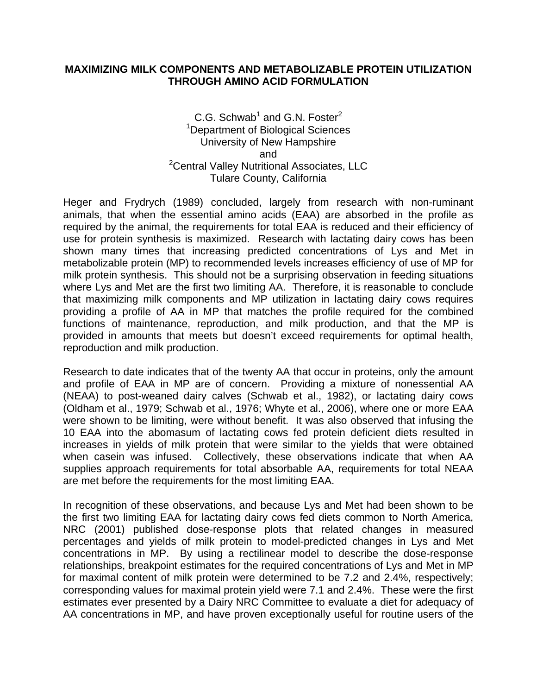#### **MAXIMIZING MILK COMPONENTS AND METABOLIZABLE PROTEIN UTILIZATION THROUGH AMINO ACID FORMULATION**

### C.G. Schwab<sup>1</sup> and G.N. Foster<sup>2</sup> <sup>1</sup>Department of Biological Sciences University of New Hampshire and <sup>2</sup>Central Valley Nutritional Associates, LLC Tulare County, California

Heger and Frydrych (1989) concluded, largely from research with non-ruminant animals, that when the essential amino acids (EAA) are absorbed in the profile as required by the animal, the requirements for total EAA is reduced and their efficiency of use for protein synthesis is maximized. Research with lactating dairy cows has been shown many times that increasing predicted concentrations of Lys and Met in metabolizable protein (MP) to recommended levels increases efficiency of use of MP for milk protein synthesis. This should not be a surprising observation in feeding situations where Lys and Met are the first two limiting AA. Therefore, it is reasonable to conclude that maximizing milk components and MP utilization in lactating dairy cows requires providing a profile of AA in MP that matches the profile required for the combined functions of maintenance, reproduction, and milk production, and that the MP is provided in amounts that meets but doesn't exceed requirements for optimal health, reproduction and milk production.

Research to date indicates that of the twenty AA that occur in proteins, only the amount and profile of EAA in MP are of concern. Providing a mixture of nonessential AA (NEAA) to post-weaned dairy calves (Schwab et al., 1982), or lactating dairy cows (Oldham et al., 1979; Schwab et al., 1976; Whyte et al., 2006), where one or more EAA were shown to be limiting, were without benefit. It was also observed that infusing the 10 EAA into the abomasum of lactating cows fed protein deficient diets resulted in increases in yields of milk protein that were similar to the yields that were obtained when casein was infused. Collectively, these observations indicate that when AA supplies approach requirements for total absorbable AA, requirements for total NEAA are met before the requirements for the most limiting EAA.

In recognition of these observations, and because Lys and Met had been shown to be the first two limiting EAA for lactating dairy cows fed diets common to North America, NRC (2001) published dose-response plots that related changes in measured percentages and yields of milk protein to model-predicted changes in Lys and Met concentrations in MP. By using a rectilinear model to describe the dose-response relationships, breakpoint estimates for the required concentrations of Lys and Met in MP for maximal content of milk protein were determined to be 7.2 and 2.4%, respectively; corresponding values for maximal protein yield were 7.1 and 2.4%. These were the first estimates ever presented by a Dairy NRC Committee to evaluate a diet for adequacy of AA concentrations in MP, and have proven exceptionally useful for routine users of the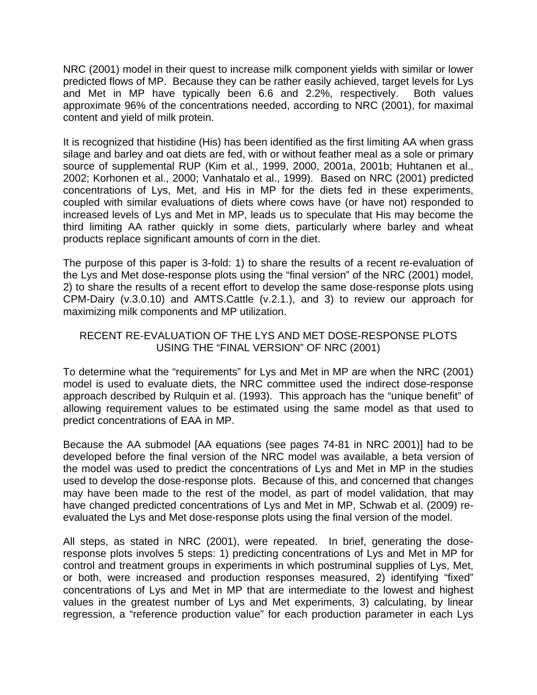NRC (2001) model in their quest to increase milk component yields with similar or lower predicted flows of MP. Because they can be rather easily achieved, target levels for Lys and Met in MP have typically been 6.6 and 2.2%, respectively. Both values approximate 96% of the concentrations needed, according to NRC (2001), for maximal content and yield of milk protein.

It is recognized that histidine (His) has been identified as the first limiting AA when grass silage and barley and oat diets are fed, with or without feather meal as a sole or primary source of supplemental RUP (Kim et al., 1999, 2000, 2001a, 2001b; Huhtanen et al., 2002; Korhonen et al., 2000; Vanhatalo et al., 1999). Based on NRC (2001) predicted concentrations of Lys, Met, and His in MP for the diets fed in these experiments, coupled with similar evaluations of diets where cows have (or have not) responded to increased levels of Lys and Met in MP, leads us to speculate that His may become the third limiting AA rather quickly in some diets, particularly where barley and wheat products replace significant amounts of corn in the diet.

The purpose of this paper is 3-fold: 1) to share the results of a recent re-evaluation of the Lys and Met dose-response plots using the "final version" of the NRC (2001) model, 2) to share the results of a recent effort to develop the same dose-response plots using CPM-Dairy (v.3.0.10) and AMTS.Cattle (v.2.1.), and 3) to review our approach for maximizing milk components and MP utilization.

## RECENT RE-EVALUATION OF THE LYS AND MET DOSE-RESPONSE PLOTS USING THE "FINAL VERSION" OF NRC (2001)

To determine what the "requirements" for Lys and Met in MP are when the NRC (2001) model is used to evaluate diets, the NRC committee used the indirect dose-response approach described by Rulquin et al. (1993). This approach has the "unique benefit" of allowing requirement values to be estimated using the same model as that used to predict concentrations of EAA in MP.

Because the AA submodel [AA equations (see pages 74-81 in NRC 2001)] had to be developed before the final version of the NRC model was available, a beta version of the model was used to predict the concentrations of Lys and Met in MP in the studies used to develop the dose-response plots. Because of this, and concerned that changes may have been made to the rest of the model, as part of model validation, that may have changed predicted concentrations of Lys and Met in MP, Schwab et al. (2009) reevaluated the Lys and Met dose-response plots using the final version of the model.

All steps, as stated in NRC (2001), were repeated. In brief, generating the doseresponse plots involves 5 steps: 1) predicting concentrations of Lys and Met in MP for control and treatment groups in experiments in which postruminal supplies of Lys, Met, or both, were increased and production responses measured, 2) identifying "fixed" concentrations of Lys and Met in MP that are intermediate to the lowest and highest values in the greatest number of Lys and Met experiments, 3) calculating, by linear regression, a "reference production value" for each production parameter in each Lys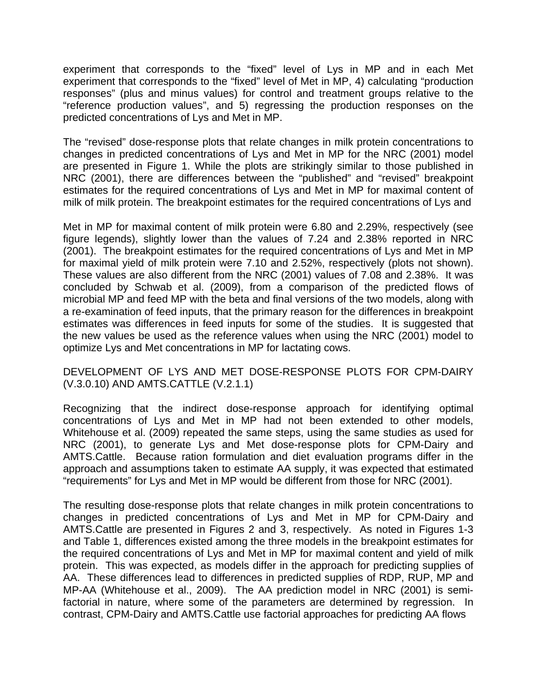experiment that corresponds to the "fixed" level of Lys in MP and in each Met experiment that corresponds to the "fixed" level of Met in MP, 4) calculating "production responses" (plus and minus values) for control and treatment groups relative to the "reference production values", and 5) regressing the production responses on the predicted concentrations of Lys and Met in MP.

The "revised" dose-response plots that relate changes in milk protein concentrations to changes in predicted concentrations of Lys and Met in MP for the NRC (2001) model are presented in Figure 1. While the plots are strikingly similar to those published in NRC (2001), there are differences between the "published" and "revised" breakpoint estimates for the required concentrations of Lys and Met in MP for maximal content of milk of milk protein. The breakpoint estimates for the required concentrations of Lys and

Met in MP for maximal content of milk protein were 6.80 and 2.29%, respectively (see figure legends), slightly lower than the values of 7.24 and 2.38% reported in NRC (2001). The breakpoint estimates for the required concentrations of Lys and Met in MP for maximal yield of milk protein were 7.10 and 2.52%, respectively (plots not shown). These values are also different from the NRC (2001) values of 7.08 and 2.38%. It was concluded by Schwab et al. (2009), from a comparison of the predicted flows of microbial MP and feed MP with the beta and final versions of the two models, along with a re-examination of feed inputs, that the primary reason for the differences in breakpoint estimates was differences in feed inputs for some of the studies. It is suggested that the new values be used as the reference values when using the NRC (2001) model to optimize Lys and Met concentrations in MP for lactating cows.

## DEVELOPMENT OF LYS AND MET DOSE-RESPONSE PLOTS FOR CPM-DAIRY (V.3.0.10) AND AMTS.CATTLE (V.2.1.1)

Recognizing that the indirect dose-response approach for identifying optimal concentrations of Lys and Met in MP had not been extended to other models, Whitehouse et al. (2009) repeated the same steps, using the same studies as used for NRC (2001), to generate Lys and Met dose-response plots for CPM-Dairy and AMTS.Cattle. Because ration formulation and diet evaluation programs differ in the approach and assumptions taken to estimate AA supply, it was expected that estimated "requirements" for Lys and Met in MP would be different from those for NRC (2001).

The resulting dose-response plots that relate changes in milk protein concentrations to changes in predicted concentrations of Lys and Met in MP for CPM-Dairy and AMTS.Cattle are presented in Figures 2 and 3, respectively. As noted in Figures 1-3 and Table 1, differences existed among the three models in the breakpoint estimates for the required concentrations of Lys and Met in MP for maximal content and yield of milk protein. This was expected, as models differ in the approach for predicting supplies of AA. These differences lead to differences in predicted supplies of RDP, RUP, MP and MP-AA (Whitehouse et al., 2009). The AA prediction model in NRC (2001) is semifactorial in nature, where some of the parameters are determined by regression. In contrast, CPM-Dairy and AMTS.Cattle use factorial approaches for predicting AA flows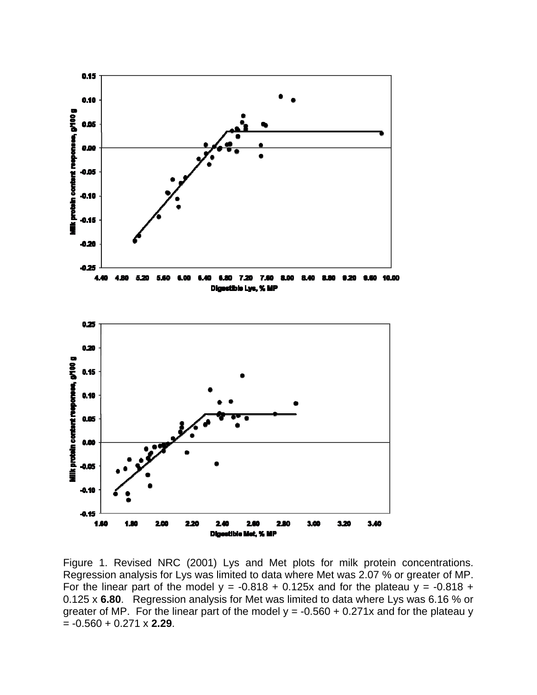

Figure 1. Revised NRC (2001) Lys and Met plots for milk protein concentrations. Regression analysis for Lys was limited to data where Met was 2.07 % or greater of MP. For the linear part of the model  $y = -0.818 + 0.125x$  and for the plateau  $y = -0.818 +$ 0.125 x **6.80**. Regression analysis for Met was limited to data where Lys was 6.16 % or greater of MP. For the linear part of the model  $y = -0.560 + 0.271x$  and for the plateau y = -0.560 + 0.271 x **2.29**.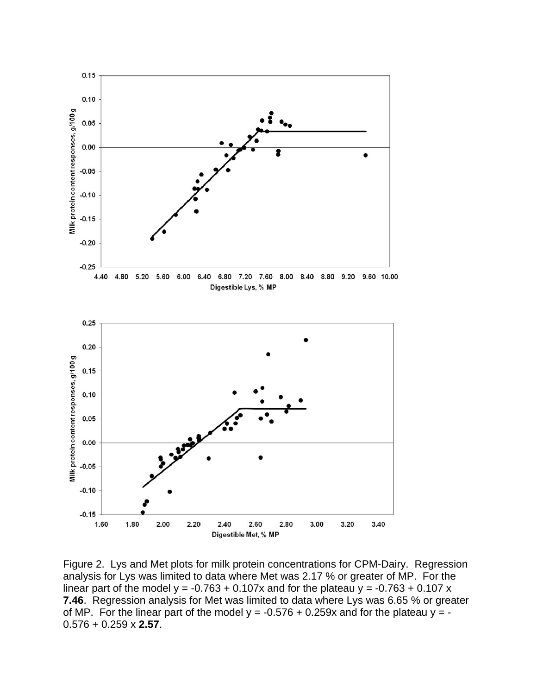

Figure 2. Lys and Met plots for milk protein concentrations for CPM-Dairy. Regression analysis for Lys was limited to data where Met was 2.17 % or greater of MP. For the linear part of the model  $y = -0.763 + 0.107x$  and for the plateau  $y = -0.763 + 0.107x$ **7.46**. Regression analysis for Met was limited to data where Lys was 6.65 % or greater of MP. For the linear part of the model  $y = -0.576 + 0.259x$  and for the plateau  $y = -0.576 + 0.259x$ 0.576 + 0.259 x **2.57**.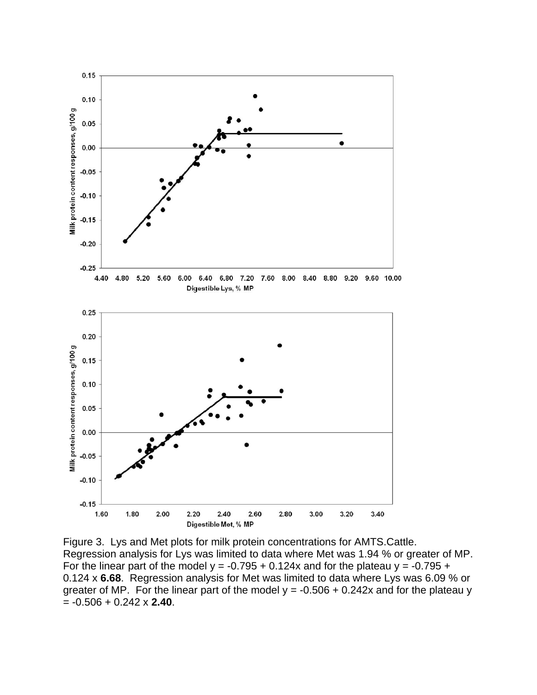

Figure 3. Lys and Met plots for milk protein concentrations for AMTS.Cattle. Regression analysis for Lys was limited to data where Met was 1.94 % or greater of MP. For the linear part of the model  $y = -0.795 + 0.124x$  and for the plateau  $y = -0.795 + 0.124x$ 0.124 x **6.68**. Regression analysis for Met was limited to data where Lys was 6.09 % or greater of MP. For the linear part of the model  $y = -0.506 + 0.242x$  and for the plateau y = -0.506 + 0.242 x **2.40**.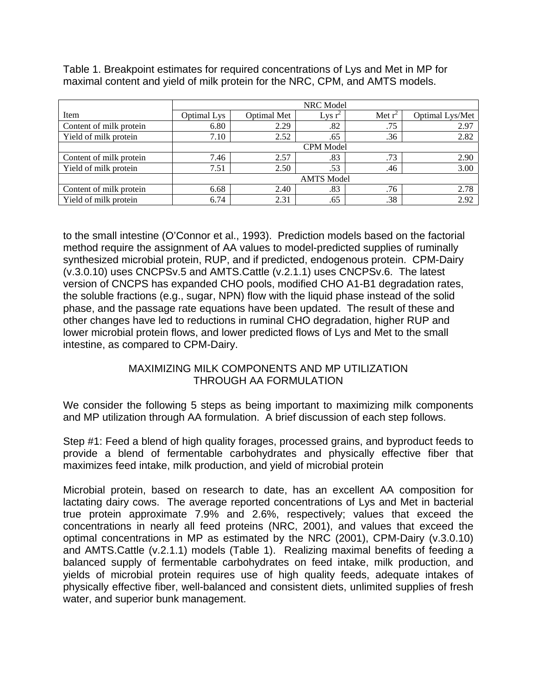Table 1. Breakpoint estimates for required concentrations of Lys and Met in MP for maximal content and yield of milk protein for the NRC, CPM, and AMTS models.

|                         | NRC Model         |             |           |           |                 |
|-------------------------|-------------------|-------------|-----------|-----------|-----------------|
| Item                    | Optimal Lys       | Optimal Met | Lys $r^2$ | Met $r^2$ | Optimal Lys/Met |
| Content of milk protein | 6.80              | 2.29        | .82       | .75       | 2.97            |
| Yield of milk protein   | 7.10              | 2.52        | .65       | .36       | 2.82            |
|                         | <b>CPM</b> Model  |             |           |           |                 |
| Content of milk protein | 7.46              | 2.57        | .83       | .73       | 2.90            |
| Yield of milk protein   | 7.51              | 2.50        | .53       | .46       | 3.00            |
|                         | <b>AMTS</b> Model |             |           |           |                 |
| Content of milk protein | 6.68              | 2.40        | .83       | .76       | 2.78            |
| Yield of milk protein   | 6.74              | 2.31        | .65       | .38       | 2.92            |

to the small intestine (O'Connor et al., 1993). Prediction models based on the factorial method require the assignment of AA values to model-predicted supplies of ruminally synthesized microbial protein, RUP, and if predicted, endogenous protein. CPM-Dairy (v.3.0.10) uses CNCPSv.5 and AMTS.Cattle (v.2.1.1) uses CNCPSv.6. The latest version of CNCPS has expanded CHO pools, modified CHO A1-B1 degradation rates, the soluble fractions (e.g., sugar, NPN) flow with the liquid phase instead of the solid phase, and the passage rate equations have been updated. The result of these and other changes have led to reductions in ruminal CHO degradation, higher RUP and lower microbial protein flows, and lower predicted flows of Lys and Met to the small intestine, as compared to CPM-Dairy.

# MAXIMIZING MILK COMPONENTS AND MP UTILIZATION THROUGH AA FORMULATION

We consider the following 5 steps as being important to maximizing milk components and MP utilization through AA formulation. A brief discussion of each step follows.

Step #1: Feed a blend of high quality forages, processed grains, and byproduct feeds to provide a blend of fermentable carbohydrates and physically effective fiber that maximizes feed intake, milk production, and yield of microbial protein

Microbial protein, based on research to date, has an excellent AA composition for lactating dairy cows. The average reported concentrations of Lys and Met in bacterial true protein approximate 7.9% and 2.6%, respectively; values that exceed the concentrations in nearly all feed proteins (NRC, 2001), and values that exceed the optimal concentrations in MP as estimated by the NRC (2001), CPM-Dairy (v.3.0.10) and AMTS.Cattle (v.2.1.1) models (Table 1). Realizing maximal benefits of feeding a balanced supply of fermentable carbohydrates on feed intake, milk production, and yields of microbial protein requires use of high quality feeds, adequate intakes of physically effective fiber, well-balanced and consistent diets, unlimited supplies of fresh water, and superior bunk management.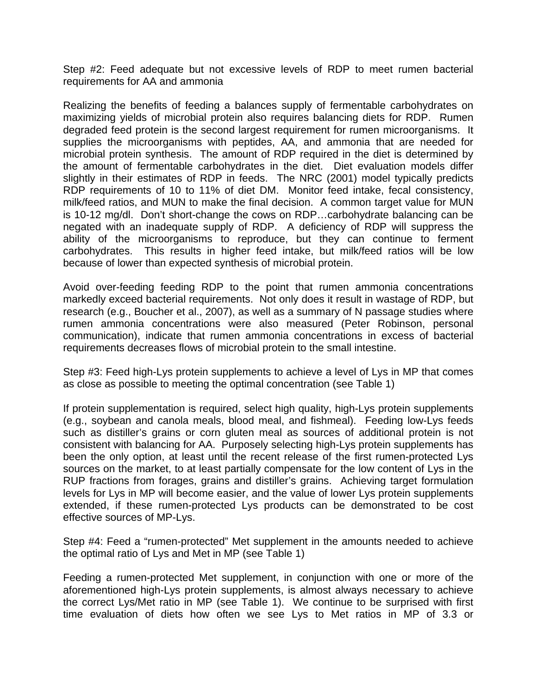Step #2: Feed adequate but not excessive levels of RDP to meet rumen bacterial requirements for AA and ammonia

Realizing the benefits of feeding a balances supply of fermentable carbohydrates on maximizing yields of microbial protein also requires balancing diets for RDP. Rumen degraded feed protein is the second largest requirement for rumen microorganisms. It supplies the microorganisms with peptides, AA, and ammonia that are needed for microbial protein synthesis. The amount of RDP required in the diet is determined by the amount of fermentable carbohydrates in the diet. Diet evaluation models differ slightly in their estimates of RDP in feeds. The NRC (2001) model typically predicts RDP requirements of 10 to 11% of diet DM. Monitor feed intake, fecal consistency, milk/feed ratios, and MUN to make the final decision. A common target value for MUN is 10-12 mg/dl. Don't short-change the cows on RDP…carbohydrate balancing can be negated with an inadequate supply of RDP. A deficiency of RDP will suppress the ability of the microorganisms to reproduce, but they can continue to ferment carbohydrates. This results in higher feed intake, but milk/feed ratios will be low because of lower than expected synthesis of microbial protein.

Avoid over-feeding feeding RDP to the point that rumen ammonia concentrations markedly exceed bacterial requirements. Not only does it result in wastage of RDP, but research (e.g., Boucher et al., 2007), as well as a summary of N passage studies where rumen ammonia concentrations were also measured (Peter Robinson, personal communication), indicate that rumen ammonia concentrations in excess of bacterial requirements decreases flows of microbial protein to the small intestine.

Step #3: Feed high-Lys protein supplements to achieve a level of Lys in MP that comes as close as possible to meeting the optimal concentration (see Table 1)

If protein supplementation is required, select high quality, high-Lys protein supplements (e.g., soybean and canola meals, blood meal, and fishmeal). Feeding low-Lys feeds such as distiller's grains or corn gluten meal as sources of additional protein is not consistent with balancing for AA. Purposely selecting high-Lys protein supplements has been the only option, at least until the recent release of the first rumen-protected Lys sources on the market, to at least partially compensate for the low content of Lys in the RUP fractions from forages, grains and distiller's grains. Achieving target formulation levels for Lys in MP will become easier, and the value of lower Lys protein supplements extended, if these rumen-protected Lys products can be demonstrated to be cost effective sources of MP-Lys.

Step #4: Feed a "rumen-protected" Met supplement in the amounts needed to achieve the optimal ratio of Lys and Met in MP (see Table 1)

Feeding a rumen-protected Met supplement, in conjunction with one or more of the aforementioned high-Lys protein supplements, is almost always necessary to achieve the correct Lys/Met ratio in MP (see Table 1). We continue to be surprised with first time evaluation of diets how often we see Lys to Met ratios in MP of 3.3 or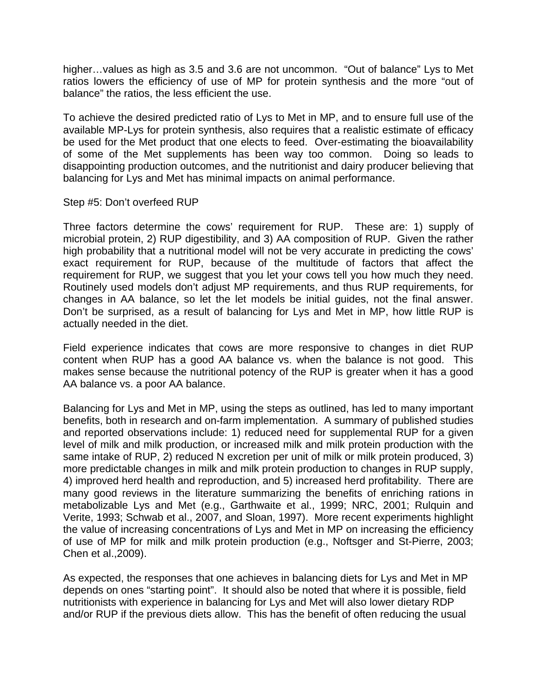higher…values as high as 3.5 and 3.6 are not uncommon. "Out of balance" Lys to Met ratios lowers the efficiency of use of MP for protein synthesis and the more "out of balance" the ratios, the less efficient the use.

To achieve the desired predicted ratio of Lys to Met in MP, and to ensure full use of the available MP-Lys for protein synthesis, also requires that a realistic estimate of efficacy be used for the Met product that one elects to feed. Over-estimating the bioavailability of some of the Met supplements has been way too common. Doing so leads to disappointing production outcomes, and the nutritionist and dairy producer believing that balancing for Lys and Met has minimal impacts on animal performance.

### Step #5: Don't overfeed RUP

Three factors determine the cows' requirement for RUP. These are: 1) supply of microbial protein, 2) RUP digestibility, and 3) AA composition of RUP. Given the rather high probability that a nutritional model will not be very accurate in predicting the cows' exact requirement for RUP, because of the multitude of factors that affect the requirement for RUP, we suggest that you let your cows tell you how much they need. Routinely used models don't adjust MP requirements, and thus RUP requirements, for changes in AA balance, so let the let models be initial guides, not the final answer. Don't be surprised, as a result of balancing for Lys and Met in MP, how little RUP is actually needed in the diet.

Field experience indicates that cows are more responsive to changes in diet RUP content when RUP has a good AA balance vs. when the balance is not good. This makes sense because the nutritional potency of the RUP is greater when it has a good AA balance vs. a poor AA balance.

Balancing for Lys and Met in MP, using the steps as outlined, has led to many important benefits, both in research and on-farm implementation. A summary of published studies and reported observations include: 1) reduced need for supplemental RUP for a given level of milk and milk production, or increased milk and milk protein production with the same intake of RUP, 2) reduced N excretion per unit of milk or milk protein produced, 3) more predictable changes in milk and milk protein production to changes in RUP supply, 4) improved herd health and reproduction, and 5) increased herd profitability. There are many good reviews in the literature summarizing the benefits of enriching rations in metabolizable Lys and Met (e.g., Garthwaite et al., 1999; NRC, 2001; Rulquin and Verite, 1993; Schwab et al., 2007, and Sloan, 1997). More recent experiments highlight the value of increasing concentrations of Lys and Met in MP on increasing the efficiency of use of MP for milk and milk protein production (e.g., Noftsger and St-Pierre, 2003; Chen et al.,2009).

As expected, the responses that one achieves in balancing diets for Lys and Met in MP depends on ones "starting point". It should also be noted that where it is possible, field nutritionists with experience in balancing for Lys and Met will also lower dietary RDP and/or RUP if the previous diets allow. This has the benefit of often reducing the usual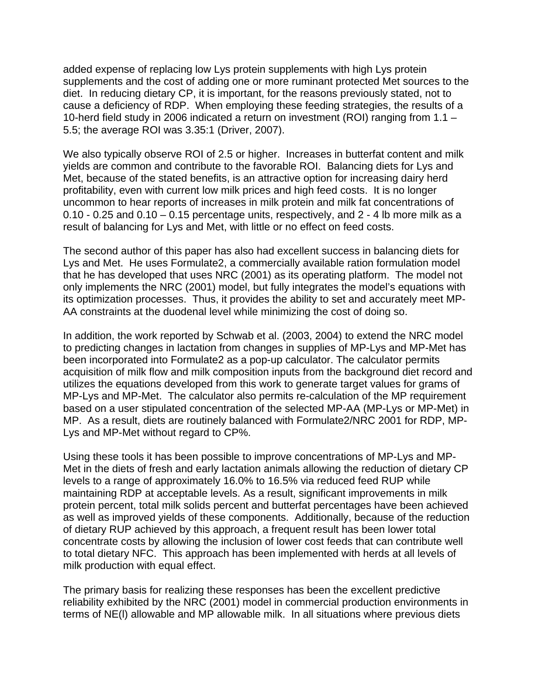added expense of replacing low Lys protein supplements with high Lys protein supplements and the cost of adding one or more ruminant protected Met sources to the diet. In reducing dietary CP, it is important, for the reasons previously stated, not to cause a deficiency of RDP. When employing these feeding strategies, the results of a 10-herd field study in 2006 indicated a return on investment (ROI) ranging from 1.1 – 5.5; the average ROI was 3.35:1 (Driver, 2007).

We also typically observe ROI of 2.5 or higher. Increases in butterfat content and milk yields are common and contribute to the favorable ROI. Balancing diets for Lys and Met, because of the stated benefits, is an attractive option for increasing dairy herd profitability, even with current low milk prices and high feed costs. It is no longer uncommon to hear reports of increases in milk protein and milk fat concentrations of 0.10 - 0.25 and 0.10 – 0.15 percentage units, respectively, and 2 - 4 lb more milk as a result of balancing for Lys and Met, with little or no effect on feed costs.

The second author of this paper has also had excellent success in balancing diets for Lys and Met. He uses Formulate2, a commercially available ration formulation model that he has developed that uses NRC (2001) as its operating platform. The model not only implements the NRC (2001) model, but fully integrates the model's equations with its optimization processes. Thus, it provides the ability to set and accurately meet MP-AA constraints at the duodenal level while minimizing the cost of doing so.

In addition, the work reported by Schwab et al. (2003, 2004) to extend the NRC model to predicting changes in lactation from changes in supplies of MP-Lys and MP-Met has been incorporated into Formulate2 as a pop-up calculator. The calculator permits acquisition of milk flow and milk composition inputs from the background diet record and utilizes the equations developed from this work to generate target values for grams of MP-Lys and MP-Met. The calculator also permits re-calculation of the MP requirement based on a user stipulated concentration of the selected MP-AA (MP-Lys or MP-Met) in MP. As a result, diets are routinely balanced with Formulate2/NRC 2001 for RDP, MP-Lys and MP-Met without regard to CP%.

Using these tools it has been possible to improve concentrations of MP-Lys and MP-Met in the diets of fresh and early lactation animals allowing the reduction of dietary CP levels to a range of approximately 16.0% to 16.5% via reduced feed RUP while maintaining RDP at acceptable levels. As a result, significant improvements in milk protein percent, total milk solids percent and butterfat percentages have been achieved as well as improved yields of these components. Additionally, because of the reduction of dietary RUP achieved by this approach, a frequent result has been lower total concentrate costs by allowing the inclusion of lower cost feeds that can contribute well to total dietary NFC. This approach has been implemented with herds at all levels of milk production with equal effect.

The primary basis for realizing these responses has been the excellent predictive reliability exhibited by the NRC (2001) model in commercial production environments in terms of NE(l) allowable and MP allowable milk. In all situations where previous diets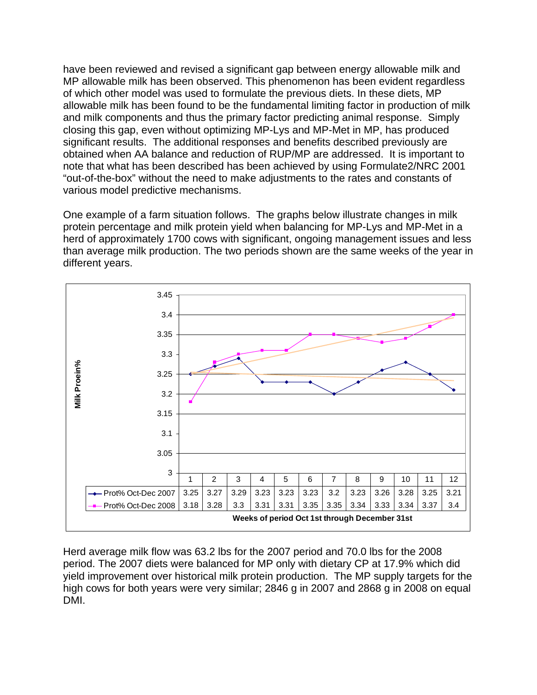have been reviewed and revised a significant gap between energy allowable milk and MP allowable milk has been observed. This phenomenon has been evident regardless of which other model was used to formulate the previous diets. In these diets, MP allowable milk has been found to be the fundamental limiting factor in production of milk and milk components and thus the primary factor predicting animal response. Simply closing this gap, even without optimizing MP-Lys and MP-Met in MP, has produced significant results. The additional responses and benefits described previously are obtained when AA balance and reduction of RUP/MP are addressed. It is important to note that what has been described has been achieved by using Formulate2/NRC 2001 "out-of-the-box" without the need to make adjustments to the rates and constants of various model predictive mechanisms.

One example of a farm situation follows. The graphs below illustrate changes in milk protein percentage and milk protein yield when balancing for MP-Lys and MP-Met in a herd of approximately 1700 cows with significant, ongoing management issues and less than average milk production. The two periods shown are the same weeks of the year in different years.



Herd average milk flow was 63.2 lbs for the 2007 period and 70.0 lbs for the 2008 period. The 2007 diets were balanced for MP only with dietary CP at 17.9% which did yield improvement over historical milk protein production. The MP supply targets for the high cows for both years were very similar; 2846 g in 2007 and 2868 g in 2008 on equal DMI.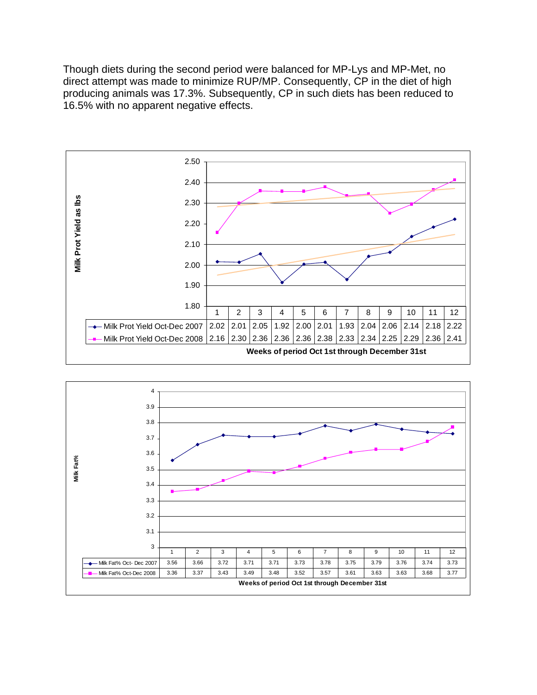Though diets during the second period were balanced for MP-Lys and MP-Met, no direct attempt was made to minimize RUP/MP. Consequently, CP in the diet of high producing animals was 17.3%. Subsequently, CP in such diets has been reduced to 16.5% with no apparent negative effects.



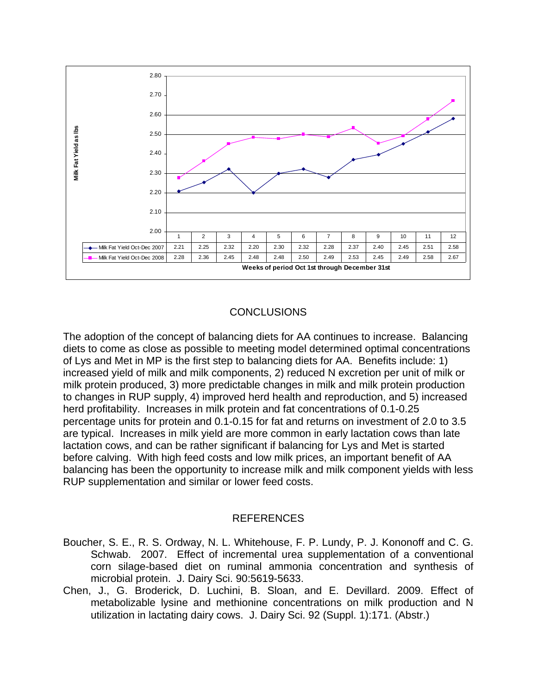

# **CONCLUSIONS**

The adoption of the concept of balancing diets for AA continues to increase. Balancing diets to come as close as possible to meeting model determined optimal concentrations of Lys and Met in MP is the first step to balancing diets for AA. Benefits include: 1) increased yield of milk and milk components, 2) reduced N excretion per unit of milk or milk protein produced, 3) more predictable changes in milk and milk protein production to changes in RUP supply, 4) improved herd health and reproduction, and 5) increased herd profitability. Increases in milk protein and fat concentrations of 0.1-0.25 percentage units for protein and 0.1-0.15 for fat and returns on investment of 2.0 to 3.5 are typical. Increases in milk yield are more common in early lactation cows than late lactation cows, and can be rather significant if balancing for Lys and Met is started before calving. With high feed costs and low milk prices, an important benefit of AA balancing has been the opportunity to increase milk and milk component yields with less RUP supplementation and similar or lower feed costs.

#### REFERENCES

- Boucher, S. E., R. S. Ordway, N. L. Whitehouse, F. P. Lundy, P. J. Kononoff and C. G. Schwab. 2007. Effect of incremental urea supplementation of a conventional corn silage-based diet on ruminal ammonia concentration and synthesis of microbial protein. J. Dairy Sci. 90:5619-5633.
- Chen, J., G. Broderick, D. Luchini, B. Sloan, and E. Devillard. 2009. Effect of metabolizable lysine and methionine concentrations on milk production and N utilization in lactating dairy cows. J. Dairy Sci. 92 (Suppl. 1):171. (Abstr.)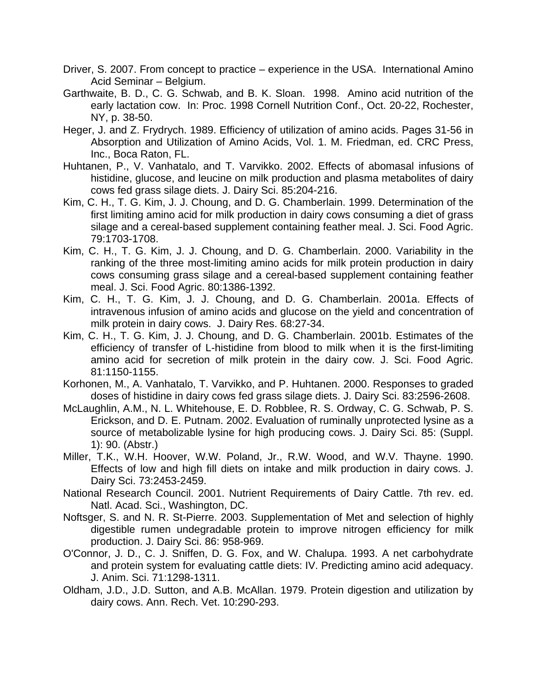- Driver, S. 2007. From concept to practice experience in the USA. International Amino Acid Seminar – Belgium.
- Garthwaite, B. D., C. G. Schwab, and B. K. Sloan. 1998. Amino acid nutrition of the early lactation cow. In: Proc. 1998 Cornell Nutrition Conf., Oct. 20-22, Rochester, NY, p. 38-50.
- Heger, J. and Z. Frydrych. 1989. Efficiency of utilization of amino acids. Pages 31-56 in Absorption and Utilization of Amino Acids, Vol. 1. M. Friedman, ed. CRC Press, Inc., Boca Raton, FL.
- Huhtanen, P., V. Vanhatalo, and T. Varvikko. 2002. Effects of abomasal infusions of histidine, glucose, and leucine on milk production and plasma metabolites of dairy cows fed grass silage diets. J. Dairy Sci. 85:204-216.
- Kim, C. H., T. G. Kim, J. J. Choung, and D. G. Chamberlain. 1999. Determination of the first limiting amino acid for milk production in dairy cows consuming a diet of grass silage and a cereal-based supplement containing feather meal. J. Sci. Food Agric. 79:1703-1708.
- Kim, C. H., T. G. Kim, J. J. Choung, and D. G. Chamberlain. 2000. Variability in the ranking of the three most-limiting amino acids for milk protein production in dairy cows consuming grass silage and a cereal-based supplement containing feather meal. J. Sci. Food Agric. 80:1386-1392.
- Kim, C. H., T. G. Kim, J. J. Choung, and D. G. Chamberlain. 2001a. Effects of intravenous infusion of amino acids and glucose on the yield and concentration of milk protein in dairy cows. J. Dairy Res. 68:27-34.
- Kim, C. H., T. G. Kim, J. J. Choung, and D. G. Chamberlain. 2001b. Estimates of the efficiency of transfer of L-histidine from blood to milk when it is the first-limiting amino acid for secretion of milk protein in the dairy cow. J. Sci. Food Agric. 81:1150-1155.
- Korhonen, M., A. Vanhatalo, T. Varvikko, and P. Huhtanen. 2000. Responses to graded doses of histidine in dairy cows fed grass silage diets. J. Dairy Sci. 83:2596-2608.
- McLaughlin, A.M., N. L. Whitehouse, E. D. Robblee, R. S. Ordway, C. G. Schwab, P. S. Erickson, and D. E. Putnam. 2002. Evaluation of ruminally unprotected lysine as a source of metabolizable lysine for high producing cows. J. Dairy Sci. 85: (Suppl. 1): 90. (Abstr.)
- Miller, T.K., W.H. Hoover, W.W. Poland, Jr., R.W. Wood, and W.V. Thayne. 1990. Effects of low and high fill diets on intake and milk production in dairy cows. J. Dairy Sci. 73:2453-2459.
- National Research Council. 2001. Nutrient Requirements of Dairy Cattle. 7th rev. ed. Natl. Acad. Sci., Washington, DC.
- Noftsger, S. and N. R. St-Pierre. 2003. Supplementation of Met and selection of highly digestible rumen undegradable protein to improve nitrogen efficiency for milk production. J. Dairy Sci. 86: 958-969.
- O'Connor, J. D., C. J. Sniffen, D. G. Fox, and W. Chalupa. 1993. A net carbohydrate and protein system for evaluating cattle diets: IV. Predicting amino acid adequacy. J. Anim. Sci. 71:1298-1311.
- Oldham, J.D., J.D. Sutton, and A.B. McAllan. 1979. Protein digestion and utilization by dairy cows. Ann. Rech. Vet. 10:290-293.